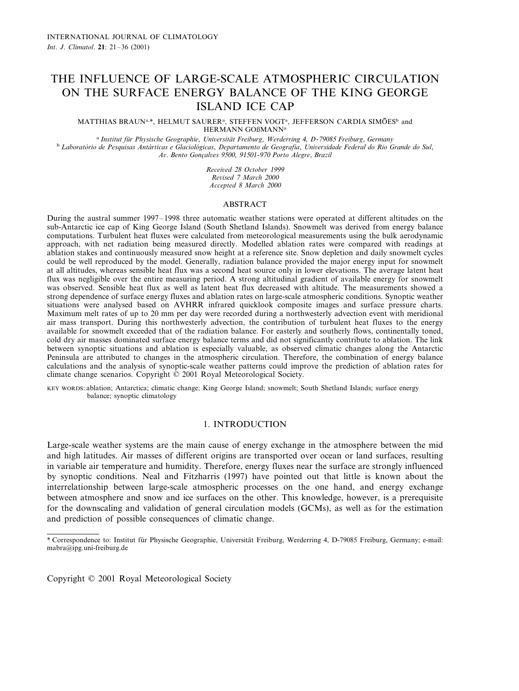# THE INFLUENCE OF LARGE-SCALE ATMOSPHERIC CIRCULATION ON THE SURFACE ENERGY BALANCE OF THE KING GEORGE ISLAND ICE CAP

 $MATTHIAS BRAUN<sup>a</sup>, HELMUT SAURER<sup>a</sup>, STEFFEN VOGT<sup>a</sup>, JEFFERSON CARDIA SIMÕES<sup>b</sup> and$ HERMANN GOßMANN<sup>a</sup>

<sup>a</sup> Institut für Physische Geographie, Universität Freiburg, Werderring 4, D-79085 Freiburg, Germany<br>Laboratório de Pesquisas Antárticas e Glaciológicas, Departamento de Geografia, Universidade Federal do Rio Grande do Sul *A*6. *Bento Gonc¸al*6*es* <sup>9500</sup>, <sup>91501</sup>-<sup>970</sup> *Porto Alegre*, *Brazil*

> *Recei*6*ed* <sup>28</sup> *October* <sup>1999</sup> *Re*6*ised* <sup>7</sup> *March* <sup>2000</sup> *Accepted* 8 *March* 2000

## ABSTRACT

During the austral summer 1997–1998 three automatic weather stations were operated at different altitudes on the sub-Antarctic ice cap of King George Island (South Shetland Islands). Snowmelt was derived from energy balance computations. Turbulent heat fluxes were calculated from meteorological measurements using the bulk aerodynamic approach, with net radiation being measured directly. Modelled ablation rates were compared with readings at ablation stakes and continuously measured snow height at a reference site. Snow depletion and daily snowmelt cycles could be well reproduced by the model. Generally, radiation balance provided the major energy input for snowmelt at all altitudes, whereas sensible heat flux was a second heat source only in lower elevations. The average latent heat flux was negligible over the entire measuring period. A strong altitudinal gradient of available energy for snowmelt was observed. Sensible heat flux as well as latent heat flux decreased with altitude. The measurements showed a strong dependence of surface energy fluxes and ablation rates on large-scale atmospheric conditions. Synoptic weather situations were analysed based on AVHRR infrared quicklook composite images and surface pressure charts. Maximum melt rates of up to 20 mm per day were recorded during a northwesterly advection event with meridional air mass transport. During this northwesterly advection, the contribution of turbulent heat fluxes to the energy available for snowmelt exceeded that of the radiation balance. For easterly and southerly flows, continentally toned, cold dry air masses dominated surface energy balance terms and did not significantly contribute to ablation. The link between synoptic situations and ablation is especially valuable, as observed climatic changes along the Antarctic Peninsula are attributed to changes in the atmospheric circulation. Therefore, the combination of energy balance calculations and the analysis of synoptic-scale weather patterns could improve the prediction of ablation rates for climate change scenarios. Copyright © 2001 Royal Meteorological Society.

KEY WORDS: ablation; Antarctica; climatic change; King George Island; snowmelt; South Shetland Islands; surface energy balance; synoptic climatology

## 1. INTRODUCTION

Large-scale weather systems are the main cause of energy exchange in the atmosphere between the mid and high latitudes. Air masses of different origins are transported over ocean or land surfaces, resulting in variable air temperature and humidity. Therefore, energy fluxes near the surface are strongly influenced by synoptic conditions. Neal and Fitzharris (1997) have pointed out that little is known about the interrelationship between large-scale atmospheric processes on the one hand, and energy exchange between atmosphere and snow and ice surfaces on the other. This knowledge, however, is a prerequisite for the downscaling and validation of general circulation models (GCMs), as well as for the estimation and prediction of possible consequences of climatic change.

Copyright © 2001 Royal Meteorological Society

<sup>\*</sup> Correspondence to: Institut für Physische Geographie, Universität Freiburg, Werderring 4, D-79085 Freiburg, Germany; e-mail: mabra@ipg.uni-freiburg.de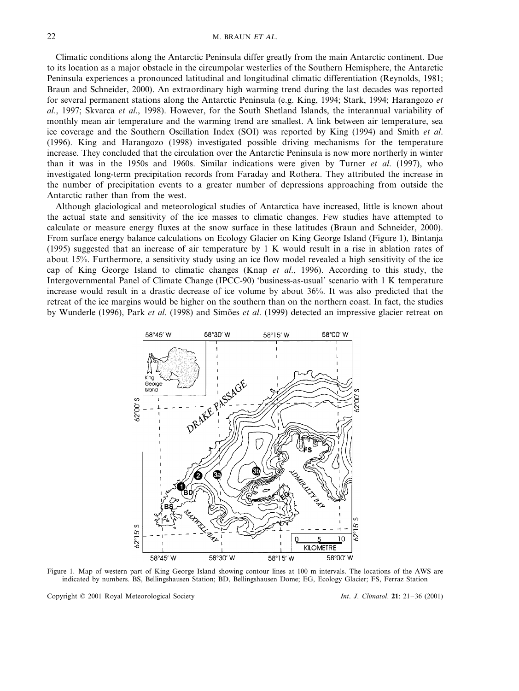Climatic conditions along the Antarctic Peninsula differ greatly from the main Antarctic continent. Due to its location as a major obstacle in the circumpolar westerlies of the Southern Hemisphere, the Antarctic Peninsula experiences a pronounced latitudinal and longitudinal climatic differentiation (Reynolds, 1981; Braun and Schneider, 2000). An extraordinary high warming trend during the last decades was reported for several permanent stations along the Antarctic Peninsula (e.g. King, 1994; Stark, 1994; Harangozo *et al*., 1997; Skvarca *et al*., 1998). However, for the South Shetland Islands, the interannual variability of monthly mean air temperature and the warming trend are smallest. A link between air temperature, sea ice coverage and the Southern Oscillation Index (SOI) was reported by King (1994) and Smith *et al*. (1996). King and Harangozo (1998) investigated possible driving mechanisms for the temperature increase. They concluded that the circulation over the Antarctic Peninsula is now more northerly in winter than it was in the 1950s and 1960s. Similar indications were given by Turner *et al*. (1997), who investigated long-term precipitation records from Faraday and Rothera. They attributed the increase in the number of precipitation events to a greater number of depressions approaching from outside the Antarctic rather than from the west.

Although glaciological and meteorological studies of Antarctica have increased, little is known about the actual state and sensitivity of the ice masses to climatic changes. Few studies have attempted to calculate or measure energy fluxes at the snow surface in these latitudes (Braun and Schneider, 2000). From surface energy balance calculations on Ecology Glacier on King George Island (Figure 1), Bintanja (1995) suggested that an increase of air temperature by 1 K would result in a rise in ablation rates of about 15%. Furthermore, a sensitivity study using an ice flow model revealed a high sensitivity of the ice cap of King George Island to climatic changes (Knap *et al*., 1996). According to this study, the Intergovernmental Panel of Climate Change (IPCC-90) 'business-as-usual' scenario with 1 K temperature increase would result in a drastic decrease of ice volume by about 36%. It was also predicted that the retreat of the ice margins would be higher on the southern than on the northern coast. In fact, the studies by Wunderle (1996), Park *et al.* (1998) and Simões *et al.* (1999) detected an impressive glacier retreat on



Figure 1. Map of western part of King George Island showing contour lines at 100 m intervals. The locations of the AWS are indicated by numbers. BS, Bellingshausen Station; BD, Bellingshausen Dome; EG, Ecology Glacier; FS, Ferraz Station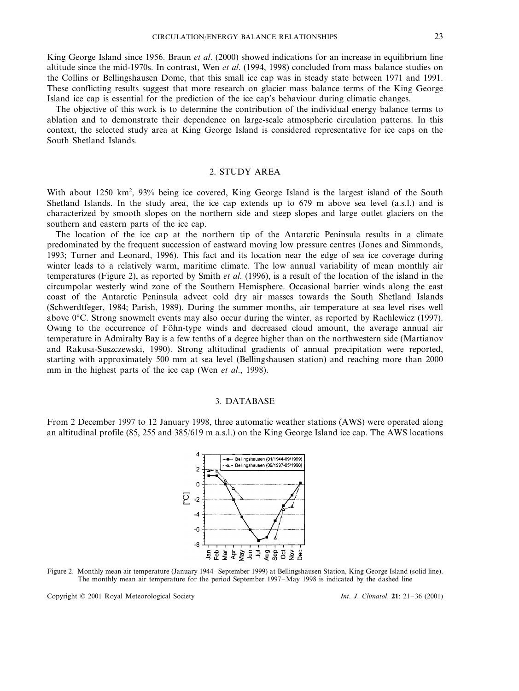King George Island since 1956. Braun *et al*. (2000) showed indications for an increase in equilibrium line altitude since the mid-1970s. In contrast, Wen *et al*. (1994, 1998) concluded from mass balance studies on the Collins or Bellingshausen Dome, that this small ice cap was in steady state between 1971 and 1991. These conflicting results suggest that more research on glacier mass balance terms of the King George Island ice cap is essential for the prediction of the ice cap's behaviour during climatic changes.

The objective of this work is to determine the contribution of the individual energy balance terms to ablation and to demonstrate their dependence on large-scale atmospheric circulation patterns. In this context, the selected study area at King George Island is considered representative for ice caps on the South Shetland Islands.

## 2. STUDY AREA

With about 1250 km<sup>2</sup>, 93% being ice covered, King George Island is the largest island of the South Shetland Islands. In the study area, the ice cap extends up to 679 m above sea level (a.s.l.) and is characterized by smooth slopes on the northern side and steep slopes and large outlet glaciers on the southern and eastern parts of the ice cap.

The location of the ice cap at the northern tip of the Antarctic Peninsula results in a climate predominated by the frequent succession of eastward moving low pressure centres (Jones and Simmonds, 1993; Turner and Leonard, 1996). This fact and its location near the edge of sea ice coverage during winter leads to a relatively warm, maritime climate. The low annual variability of mean monthly air temperatures (Figure 2), as reported by Smith *et al*. (1996), is a result of the location of the island in the circumpolar westerly wind zone of the Southern Hemisphere. Occasional barrier winds along the east coast of the Antarctic Peninsula advect cold dry air masses towards the South Shetland Islands (Schwerdtfeger, 1984; Parish, 1989). During the summer months, air temperature at sea level rises well above 0°C. Strong snowmelt events may also occur during the winter, as reported by Rachlewicz (1997). Owing to the occurrence of Föhn-type winds and decreased cloud amount, the average annual air temperature in Admiralty Bay is a few tenths of a degree higher than on the northwestern side (Martianov and Rakusa-Suszczewski, 1990). Strong altitudinal gradients of annual precipitation were reported, starting with approximately 500 mm at sea level (Bellingshausen station) and reaching more than 2000 mm in the highest parts of the ice cap (Wen *et al*., 1998).

#### 3. DATABASE

From 2 December 1997 to 12 January 1998, three automatic weather stations (AWS) were operated along an altitudinal profile (85, 255 and 385/619 m a.s.l.) on the King George Island ice cap. The AWS locations



Figure 2. Monthly mean air temperature (January 1944–September 1999) at Bellingshausen Station, King George Island (solid line). The monthly mean air temperature for the period September 1997–May 1998 is indicated by the dashed line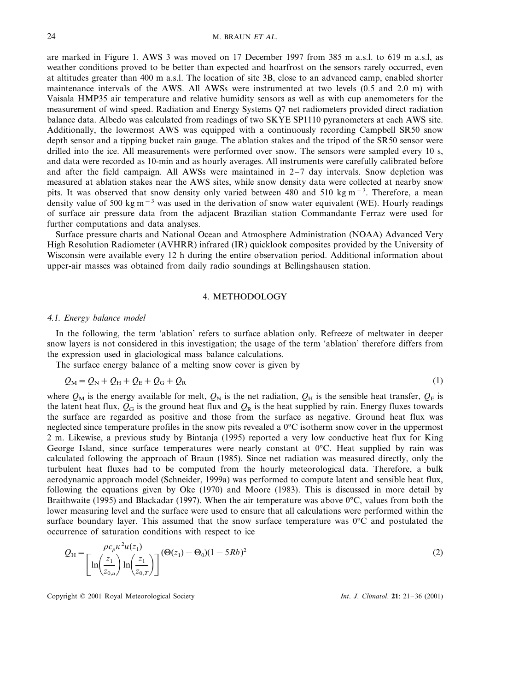are marked in Figure 1. AWS 3 was moved on 17 December 1997 from 385 m a.s.l. to 619 m a.s.l, as weather conditions proved to be better than expected and hoarfrost on the sensors rarely occurred, even at altitudes greater than 400 m a.s.l. The location of site 3B, close to an advanced camp, enabled shorter maintenance intervals of the AWS. All AWSs were instrumented at two levels (0.5 and 2.0 m) with Vaisala HMP35 air temperature and relative humidity sensors as well as with cup anemometers for the measurement of wind speed. Radiation and Energy Systems Q7 net radiometers provided direct radiation balance data. Albedo was calculated from readings of two SKYE SP1110 pyranometers at each AWS site. Additionally, the lowermost AWS was equipped with a continuously recording Campbell SR50 snow depth sensor and a tipping bucket rain gauge. The ablation stakes and the tripod of the SR50 sensor were drilled into the ice. All measurements were performed over snow. The sensors were sampled every 10 s, and data were recorded as 10-min and as hourly averages. All instruments were carefully calibrated before and after the field campaign. All AWSs were maintained in  $2-7$  day intervals. Snow depletion was measured at ablation stakes near the AWS sites, while snow density data were collected at nearby snow pits. It was observed that snow density only varied between 480 and 510 kg m<sup>-3</sup>. Therefore, a mean density value of 500 kg m<sup>-3</sup> was used in the derivation of snow water equivalent (WE). Hourly readings of surface air pressure data from the adjacent Brazilian station Commandante Ferraz were used for further computations and data analyses.

Surface pressure charts and National Ocean and Atmosphere Administration (NOAA) Advanced Very High Resolution Radiometer (AVHRR) infrared (IR) quicklook composites provided by the University of Wisconsin were available every 12 h during the entire observation period. Additional information about upper-air masses was obtained from daily radio soundings at Bellingshausen station.

## 4. METHODOLOGY

#### 4.1. *Energy balance model*

In the following, the term 'ablation' refers to surface ablation only. Refreeze of meltwater in deeper snow layers is not considered in this investigation; the usage of the term 'ablation' therefore differs from the expression used in glaciological mass balance calculations.

The surface energy balance of a melting snow cover is given by

$$
Q_{\rm M} = Q_{\rm N} + Q_{\rm H} + Q_{\rm E} + Q_{\rm G} + Q_{\rm R}
$$
\n<sup>(1)</sup>

where  $Q_M$  is the energy available for melt,  $Q_N$  is the net radiation,  $Q_H$  is the sensible heat transfer,  $Q_E$  is the latent heat flux,  $Q_G$  is the ground heat flux and  $Q_R$  is the heat supplied by rain. Energy fluxes towards the surface are regarded as positive and those from the surface as negative. Ground heat flux was neglected since temperature profiles in the snow pits revealed a 0°C isotherm snow cover in the uppermost 2 m. Likewise, a previous study by Bintanja (1995) reported a very low conductive heat flux for King George Island, since surface temperatures were nearly constant at 0°C. Heat supplied by rain was calculated following the approach of Braun (1985). Since net radiation was measured directly, only the turbulent heat fluxes had to be computed from the hourly meteorological data. Therefore, a bulk aerodynamic approach model (Schneider, 1999a) was performed to compute latent and sensible heat flux, following the equations given by Oke (1970) and Moore (1983). This is discussed in more detail by Braithwaite (1995) and Blackadar (1997). When the air temperature was above 0°C, values from both the lower measuring level and the surface were used to ensure that all calculations were performed within the surface boundary layer. This assumed that the snow surface temperature was 0°C and postulated the occurrence of saturation conditions with respect to ice

$$
Q_{\rm H} = \frac{\rho c_p \kappa^2 u(z_1)}{\left[\ln\left(\frac{z_1}{z_{0,u}}\right) \ln\left(\frac{z_1}{z_{0,T}}\right)\right]} (\Theta(z_1) - \Theta_0)(1 - 5Rb)^2
$$
\n(2)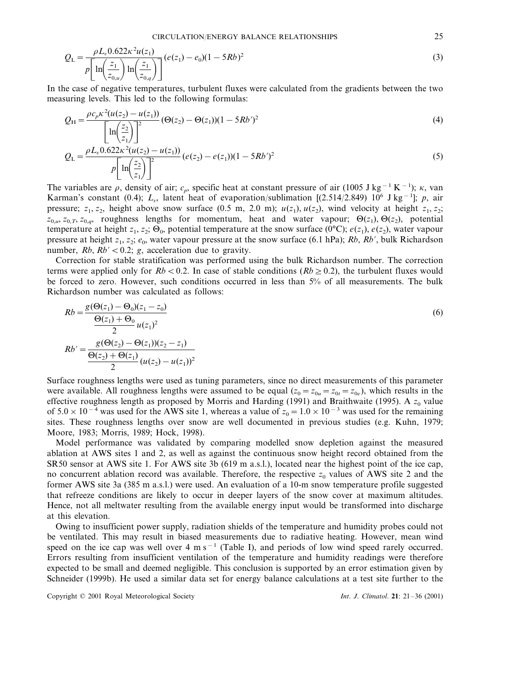$$
Q_{\rm L} = \frac{\rho L_v 0.622 \kappa^2 u(z_1)}{p \left[ \ln \left( \frac{z_1}{z_{0,u}} \right) \ln \left( \frac{z_1}{z_{0,q}} \right) \right]} (e(z_1) - e_0)(1 - 5Rb)^2
$$
\n(3)

In the case of negative temperatures, turbulent fluxes were calculated from the gradients between the two measuring levels. This led to the following formulas:

$$
Q_{\rm H} = \frac{\rho c_p \kappa^2 (u(z_2) - u(z_1))}{\left[\ln\left(\frac{z_2}{z_1}\right)\right]^2} \left(\Theta(z_2) - \Theta(z_1)\right) (1 - 5Rb')^2 \tag{4}
$$

$$
Q_{\rm L} = \frac{\rho L_v 0.622 \kappa^2 (u(z_2) - u(z_1))}{p \left[ \ln \left( \frac{z_2}{z_1} \right) \right]^2} (e(z_2) - e(z_1)) (1 - 5Rb')^2
$$
\n(5)

The variables are  $\rho$ , density of air;  $c_p$ , specific heat at constant pressure of air (1005 J kg<sup>-1</sup> K<sup>-1</sup>);  $\kappa$ , van Karman's constant (0.4); *L*6, latent heat of evaporation/sublimation [(2.514/2.849) 106 J kg−<sup>1</sup> ]; *p*, air pressure;  $z_1, z_2$ , height above snow surface (0.5 m, 2.0 m);  $u(z_1), u(z_2)$ , wind velocity at height  $z_1, z_2$ ;  $z_{0,\mu}$ ,  $z_{0,\tau}$ ,  $z_{0,\sigma}$ , roughness lengths for momentum, heat and water vapour;  $\Theta(z_1)$ ,  $\Theta(z_2)$ , potential temperature at height  $z_1$ ,  $z_2$ ;  $\Theta_0$ , potential temperature at the snow surface (0°C);  $e(z_1)$ ,  $e(z_2)$ , water vapour pressure at height  $z_1$ ,  $z_2$ ;  $e_0$ , water vapour pressure at the snow surface (6.1 hPa); *Rb*, *Rb'*, bulk Richardson number,  $Rb$ ,  $Rb' < 0.2$ ; *g*, acceleration due to gravity.

Correction for stable stratification was performed using the bulk Richardson number. The correction terms were applied only for  $Rb < 0.2$ . In case of stable conditions ( $Rb \ge 0.2$ ), the turbulent fluxes would be forced to zero. However, such conditions occurred in less than 5% of all measurements. The bulk Richardson number was calculated as follows:

$$
Rb = \frac{g(\Theta(z_1) - \Theta_0)(z_1 - z_0)}{\Theta(z_1) + \Theta_0} \n Bb' = \frac{g(\Theta(z_2) - \Theta(z_1))(z_2 - z_1)}{\Theta(z_2) + \Theta(z_1)} \n a (6)
$$
\n
$$
Bb' = \frac{g(\Theta(z_2) - \Theta(z_1))(z_2 - z_1)}{\Theta(z_2) + \Theta(z_1)} \n a (z_2) - u(z_1))^2
$$

Surface roughness lengths were used as tuning parameters, since no direct measurements of this parameter were available. All roughness lengths were assumed to be equal  $(z_0 = z_{0u} = z_{0v} = z_{0e})$ , which results in the effective roughness length as proposed by Morris and Harding (1991) and Braithwaite (1995). A  $z_0$  value of  $5.0 \times 10^{-4}$  was used for the AWS site 1, whereas a value of  $z_0 = 1.0 \times 10^{-3}$  was used for the remaining sites. These roughness lengths over snow are well documented in previous studies (e.g. Kuhn, 1979; Moore, 1983; Morris, 1989; Hock, 1998).

Model performance was validated by comparing modelled snow depletion against the measured ablation at AWS sites 1 and 2, as well as against the continuous snow height record obtained from the SR50 sensor at AWS site 1. For AWS site 3b (619 m a.s.l.), located near the highest point of the ice cap, no concurrent ablation record was available. Therefore, the respective  $z_0$  values of AWS site 2 and the former AWS site 3a (385 m a.s.l.) were used. An evaluation of a 10-m snow temperature profile suggested that refreeze conditions are likely to occur in deeper layers of the snow cover at maximum altitudes. Hence, not all meltwater resulting from the available energy input would be transformed into discharge at this elevation.

Owing to insufficient power supply, radiation shields of the temperature and humidity probes could not be ventilated. This may result in biased measurements due to radiative heating. However, mean wind speed on the ice cap was well over 4 m s<sup>−1</sup> (Table I), and periods of low wind speed rarely occurred. Errors resulting from insufficient ventilation of the temperature and humidity readings were therefore expected to be small and deemed negligible. This conclusion is supported by an error estimation given by Schneider (1999b). He used a similar data set for energy balance calculations at a test site further to the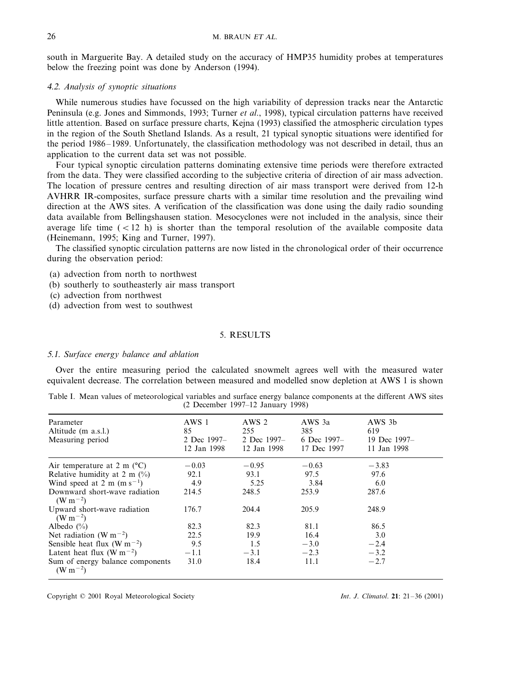south in Marguerite Bay. A detailed study on the accuracy of HMP35 humidity probes at temperatures below the freezing point was done by Anderson (1994).

## 4.2. *Analysis of synoptic situations*

While numerous studies have focussed on the high variability of depression tracks near the Antarctic Peninsula (e.g. Jones and Simmonds, 1993; Turner *et al*., 1998), typical circulation patterns have received little attention. Based on surface pressure charts, Kejna (1993) classified the atmospheric circulation types in the region of the South Shetland Islands. As a result, 21 typical synoptic situations were identified for the period 1986–1989. Unfortunately, the classification methodology was not described in detail, thus an application to the current data set was not possible.

Four typical synoptic circulation patterns dominating extensive time periods were therefore extracted from the data. They were classified according to the subjective criteria of direction of air mass advection. The location of pressure centres and resulting direction of air mass transport were derived from 12-h AVHRR IR-composites, surface pressure charts with a similar time resolution and the prevailing wind direction at the AWS sites. A verification of the classification was done using the daily radio sounding data available from Bellingshausen station. Mesocyclones were not included in the analysis, since their average life time  $(< 12$  h) is shorter than the temporal resolution of the available composite data (Heinemann, 1995; King and Turner, 1997).

The classified synoptic circulation patterns are now listed in the chronological order of their occurrence during the observation period:

(a) advection from north to northwest

- (b) southerly to southeasterly air mass transport
- (c) advection from northwest
- (d) advection from west to southwest

## 5. RESULTS

## 5.1. *Surface energy balance and ablation*

Over the entire measuring period the calculated snowmelt agrees well with the measured water equivalent decrease. The correlation between measured and modelled snow depletion at AWS 1 is shown

|  |  |  |                                     |  |  | Table I. Mean values of meteorological variables and surface energy balance components at the different AWS sites |  |  |
|--|--|--|-------------------------------------|--|--|-------------------------------------------------------------------------------------------------------------------|--|--|
|  |  |  | $(2$ December 1997–12 January 1998) |  |  |                                                                                                                   |  |  |

| Parameter<br>Altitude (m a.s.l.)<br>Measuring period               | AWS 1<br>85<br>2 Dec 1997-<br>12 Jan 1998 | AWS 2<br>255<br>2 Dec 1997-<br>12 Jan 1998 | AWS 3a<br>385<br>6 Dec 1997–<br>17 Dec 1997 | AWS 3b<br>619<br>19 Dec 1997-<br>11 Jan 1998 |
|--------------------------------------------------------------------|-------------------------------------------|--------------------------------------------|---------------------------------------------|----------------------------------------------|
| Air temperature at 2 m $(^{\circ}C)$                               | $-0.03$                                   | $-0.95$                                    | $-0.63$                                     | $-3.83$                                      |
| Relative humidity at 2 m $\left(\frac{0}{0}\right)$                | 92.1                                      | 93.1                                       | 97.5                                        | 97.6                                         |
| Wind speed at 2 m (m s <sup>-1</sup> )                             | 4.9                                       | 5.25                                       | 3.84                                        | 6.0                                          |
| Downward short-wave radiation<br>(W m <sup><math>-2</math></sup> ) | 214.5                                     | 248.5                                      | 253.9                                       | 287.6                                        |
| Upward short-wave radiation<br>$(W m^{-2})$                        | 176.7                                     | 204.4                                      | 205.9                                       | 248.9                                        |
| Albedo $(\%)$                                                      | 82.3                                      | 82.3                                       | 81.1                                        | 86.5                                         |
| Net radiation (W m <sup><math>-2</math></sup> )                    | 22.5                                      | 19.9                                       | 16.4                                        | 3.0                                          |
| Sensible heat flux (W m <sup><math>-2</math></sup> )               | 9.5                                       | 1.5                                        | $-3.0$                                      | $-2.4$                                       |
| Latent heat flux (W m <sup><math>-2</math></sup> )                 | $-1.1$                                    | $-3.1$                                     | $-2.3$                                      | $-3.2$                                       |
| Sum of energy balance components<br>$(W m^{-2})$                   | 31.0                                      | 18.4                                       | 11.1                                        | $-2.7$                                       |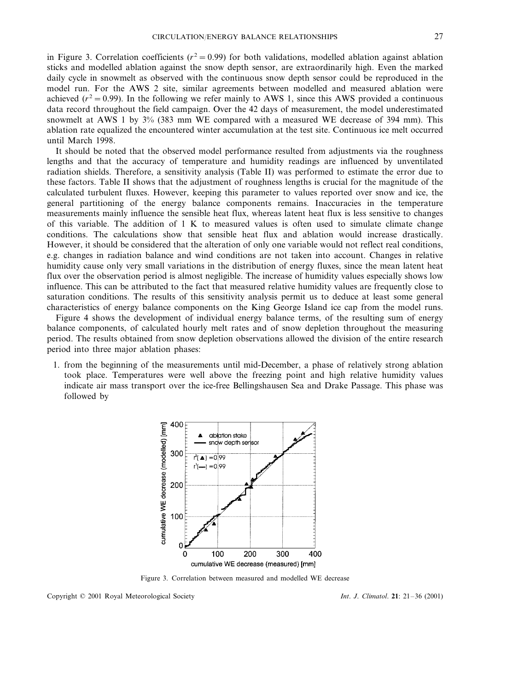in Figure 3. Correlation coefficients ( $r^2 = 0.99$ ) for both validations, modelled ablation against ablation sticks and modelled ablation against the snow depth sensor, are extraordinarily high. Even the marked daily cycle in snowmelt as observed with the continuous snow depth sensor could be reproduced in the model run. For the AWS 2 site, similar agreements between modelled and measured ablation were achieved  $(r^2 = 0.99)$ . In the following we refer mainly to AWS 1, since this AWS provided a continuous data record throughout the field campaign. Over the 42 days of measurement, the model underestimated snowmelt at AWS 1 by 3% (383 mm WE compared with a measured WE decrease of 394 mm). This ablation rate equalized the encountered winter accumulation at the test site. Continuous ice melt occurred until March 1998.

It should be noted that the observed model performance resulted from adjustments via the roughness lengths and that the accuracy of temperature and humidity readings are influenced by unventilated radiation shields. Therefore, a sensitivity analysis (Table II) was performed to estimate the error due to these factors. Table II shows that the adjustment of roughness lengths is crucial for the magnitude of the calculated turbulent fluxes. However, keeping this parameter to values reported over snow and ice, the general partitioning of the energy balance components remains. Inaccuracies in the temperature measurements mainly influence the sensible heat flux, whereas latent heat flux is less sensitive to changes of this variable. The addition of  $1 \text{ K}$  to measured values is often used to simulate climate change conditions. The calculations show that sensible heat flux and ablation would increase drastically. However, it should be considered that the alteration of only one variable would not reflect real conditions, e.g. changes in radiation balance and wind conditions are not taken into account. Changes in relative humidity cause only very small variations in the distribution of energy fluxes, since the mean latent heat flux over the observation period is almost negligible. The increase of humidity values especially shows low influence. This can be attributed to the fact that measured relative humidity values are frequently close to saturation conditions. The results of this sensitivity analysis permit us to deduce at least some general characteristics of energy balance components on the King George Island ice cap from the model runs.

Figure 4 shows the development of individual energy balance terms, of the resulting sum of energy balance components, of calculated hourly melt rates and of snow depletion throughout the measuring period. The results obtained from snow depletion observations allowed the division of the entire research period into three major ablation phases:

1. from the beginning of the measurements until mid-December, a phase of relatively strong ablation took place. Temperatures were well above the freezing point and high relative humidity values indicate air mass transport over the ice-free Bellingshausen Sea and Drake Passage. This phase was followed by



Figure 3. Correlation between measured and modelled WE decrease

Copyright © 2001 Royal Meteorological Society *Int*. *J*. *Climatol*. **21**: 21–36 (2001)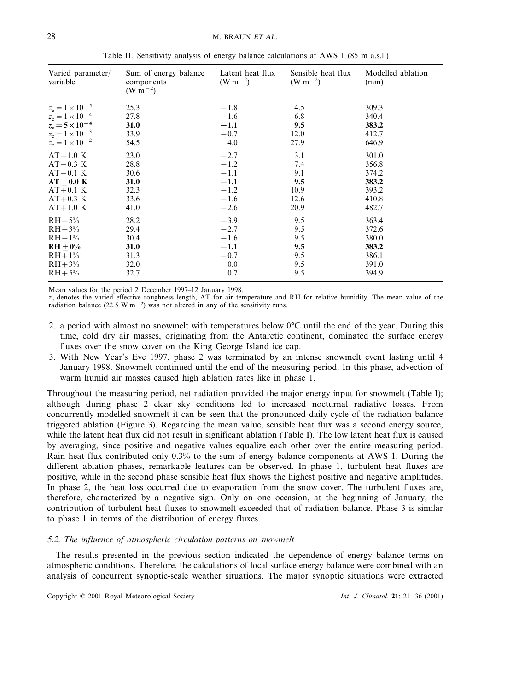| Varied parameter/<br>variable | Sum of energy balance<br>components<br>$(W m^{-2})$ | Latent heat flux<br>(W m <sup>-2</sup> ) | Sensible heat flux<br>(W m <sup>-2</sup> ) | Modelled ablation<br>(mm) |
|-------------------------------|-----------------------------------------------------|------------------------------------------|--------------------------------------------|---------------------------|
| $z_e = 1 \times 10^{-5}$      | 25.3                                                | $-1.8$                                   | 4.5                                        | 309.3                     |
| $z_e = 1 \times 10^{-4}$      | 27.8                                                | $-1.6$                                   | 6.8                                        | 340.4                     |
| $z_e = 5 \times 10^{-4}$      | 31.0                                                | $-1.1$                                   | 9.5                                        | 383.2                     |
| $z_e = 1 \times 10^{-3}$      | 33.9                                                | $-0.7$                                   | 12.0                                       | 412.7                     |
| $z_e = 1 \times 10^{-2}$      | 54.5                                                | 4.0                                      | 27.9                                       | 646.9                     |
| $AT-1.0$ K                    | 23.0                                                | $-2.7$                                   | 3.1                                        | 301.0                     |
| $AT-0.3$ K                    | 28.8                                                | $-1.2$                                   | 7.4                                        | 356.8                     |
| $AT-0.1$ K                    | 30.6                                                | $-1.1$                                   | 9.1                                        | 374.2                     |
| $AT \pm 0.0 K$                | <b>31.0</b>                                         | $-1.1$                                   | 9.5                                        | 383.2                     |
| $AT+0.1$ K                    | 32.3                                                | $-1.2$                                   | 10.9                                       | 393.2                     |
| $AT+0.3$ K                    | 33.6                                                | $-1.6$                                   | 12.6                                       | 410.8                     |
| $AT+1.0 K$                    | 41.0                                                | $-2.6$                                   | 20.9                                       | 482.7                     |
| $RH - 5\%$                    | 28.2                                                | $-3.9$                                   | 9.5                                        | 363.4                     |
| $RH - 3\%$                    | 29.4                                                | $-2.7$                                   | 9.5                                        | 372.6                     |
| $RH-1\%$                      | 30.4                                                | $-1.6$                                   | 9.5                                        | 380.0                     |
| $RH + 0\%$                    | <b>31.0</b>                                         | $-1.1$                                   | 9.5                                        | 383.2                     |
| $RH + 1\%$                    | 31.3                                                | $-0.7$                                   | 9.5                                        | 386.1                     |
| $RH + 3\%$                    | 32.0                                                | 0.0                                      | 9.5                                        | 391.0                     |
| $RH + 5\%$                    | 32.7                                                | 0.7                                      | 9.5                                        | 394.9                     |

Table II. Sensitivity analysis of energy balance calculations at AWS 1 (85 m a.s.l.)

Mean values for the period 2 December 1997–12 January 1998.

 $z_e$  denotes the varied effective roughness length, AT for air temperature and RH for relative humidity. The mean value of the radiation balance (22.5 W m−<sup>2</sup> ) was not altered in any of the sensitivity runs.

- 2. a period with almost no snowmelt with temperatures below 0°C until the end of the year. During this time, cold dry air masses, originating from the Antarctic continent, dominated the surface energy fluxes over the snow cover on the King George Island ice cap.
- 3. With New Year's Eve 1997, phase 2 was terminated by an intense snowmelt event lasting until 4 January 1998. Snowmelt continued until the end of the measuring period. In this phase, advection of warm humid air masses caused high ablation rates like in phase 1.

Throughout the measuring period, net radiation provided the major energy input for snowmelt (Table I); although during phase 2 clear sky conditions led to increased nocturnal radiative losses. From concurrently modelled snowmelt it can be seen that the pronounced daily cycle of the radiation balance triggered ablation (Figure 3). Regarding the mean value, sensible heat flux was a second energy source, while the latent heat flux did not result in significant ablation (Table I). The low latent heat flux is caused by averaging, since positive and negative values equalize each other over the entire measuring period. Rain heat flux contributed only 0.3% to the sum of energy balance components at AWS 1. During the different ablation phases, remarkable features can be observed. In phase 1, turbulent heat fluxes are positive, while in the second phase sensible heat flux shows the highest positive and negative amplitudes. In phase 2, the heat loss occurred due to evaporation from the snow cover. The turbulent fluxes are, therefore, characterized by a negative sign. Only on one occasion, at the beginning of January, the contribution of turbulent heat fluxes to snowmelt exceeded that of radiation balance. Phase 3 is similar to phase 1 in terms of the distribution of energy fluxes.

#### 5.2. *The influence of atmospheric circulation patterns on snowmelt*

The results presented in the previous section indicated the dependence of energy balance terms on atmospheric conditions. Therefore, the calculations of local surface energy balance were combined with an analysis of concurrent synoptic-scale weather situations. The major synoptic situations were extracted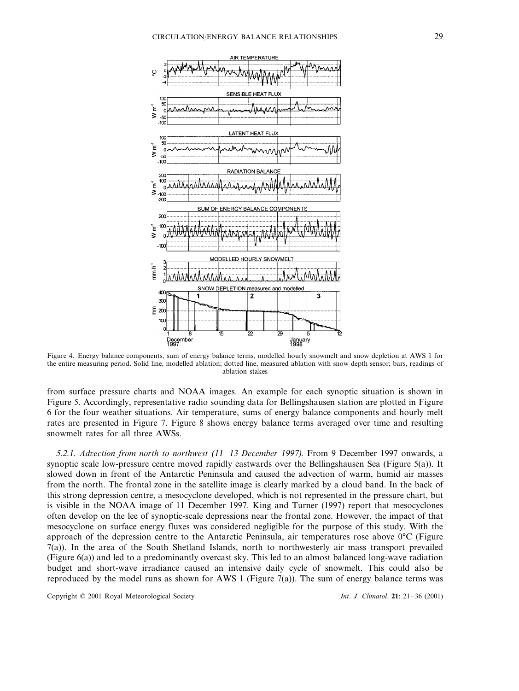

Figure 4. Energy balance components, sum of energy balance terms, modelled hourly snowmelt and snow depletion at AWS 1 for the entire measuring period. Solid line, modelled ablation; dotted line, measured ablation with snow depth sensor; bars, readings of ablation stakes

from surface pressure charts and NOAA images. An example for each synoptic situation is shown in Figure 5. Accordingly, representative radio sounding data for Bellingshausen station are plotted in Figure 6 for the four weather situations. Air temperature, sums of energy balance components and hourly melt rates are presented in Figure 7. Figure 8 shows energy balance terms averaged over time and resulting snowmelt rates for all three AWSs.

5.2.1. *Advection from north to northwest* (11–13 *December 1997*). From 9 December 1997 onwards, a synoptic scale low-pressure centre moved rapidly eastwards over the Bellingshausen Sea (Figure 5(a)). It slowed down in front of the Antarctic Peninsula and caused the advection of warm, humid air masses from the north. The frontal zone in the satellite image is clearly marked by a cloud band. In the back of this strong depression centre, a mesocyclone developed, which is not represented in the pressure chart, but is visible in the NOAA image of 11 December 1997. King and Turner (1997) report that mesocyclones often develop on the lee of synoptic-scale depressions near the frontal zone. However, the impact of that mesocyclone on surface energy fluxes was considered negligible for the purpose of this study. With the approach of the depression centre to the Antarctic Peninsula, air temperatures rose above 0°C (Figure 7(a)). In the area of the South Shetland Islands, north to northwesterly air mass transport prevailed (Figure 6(a)) and led to a predominantly overcast sky. This led to an almost balanced long-wave radiation budget and short-wave irradiance caused an intensive daily cycle of snowmelt. This could also be reproduced by the model runs as shown for AWS 1 (Figure 7(a)). The sum of energy balance terms was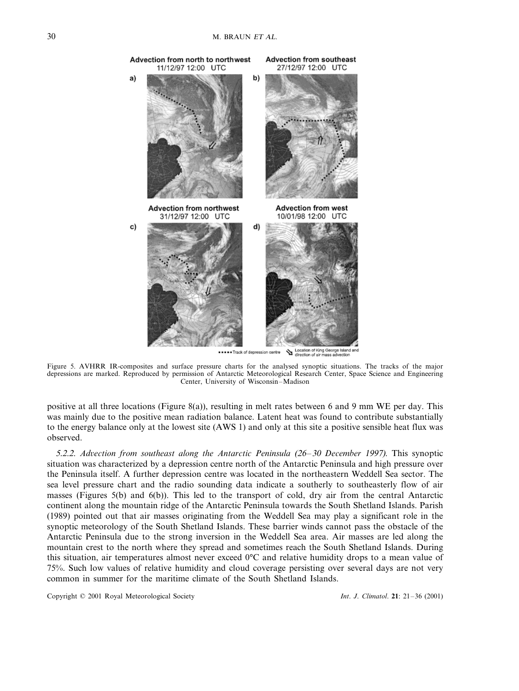

Location of King George Island and<br>direction of air mass advection .....Track of depr sion centre

Figure 5. AVHRR IR-composites and surface pressure charts for the analysed synoptic situations. The tracks of the major depressions are marked. Reproduced by permission of Antarctic Meteorological Research Center, Space Science and Engineering Center, University of Wisconsin–Madison

positive at all three locations (Figure 8(a)), resulting in melt rates between 6 and 9 mm WE per day. This was mainly due to the positive mean radiation balance. Latent heat was found to contribute substantially to the energy balance only at the lowest site (AWS 1) and only at this site a positive sensible heat flux was observed.

5.2.2. Advection from southeast along the Antarctic Peninsula (26–30 December 1997). This synoptic situation was characterized by a depression centre north of the Antarctic Peninsula and high pressure over the Peninsula itself. A further depression centre was located in the northeastern Weddell Sea sector. The sea level pressure chart and the radio sounding data indicate a southerly to southeasterly flow of air masses (Figures 5(b) and 6(b)). This led to the transport of cold, dry air from the central Antarctic continent along the mountain ridge of the Antarctic Peninsula towards the South Shetland Islands. Parish (1989) pointed out that air masses originating from the Weddell Sea may play a significant role in the synoptic meteorology of the South Shetland Islands. These barrier winds cannot pass the obstacle of the Antarctic Peninsula due to the strong inversion in the Weddell Sea area. Air masses are led along the mountain crest to the north where they spread and sometimes reach the South Shetland Islands. During this situation, air temperatures almost never exceed 0°C and relative humidity drops to a mean value of 75%. Such low values of relative humidity and cloud coverage persisting over several days are not very common in summer for the maritime climate of the South Shetland Islands.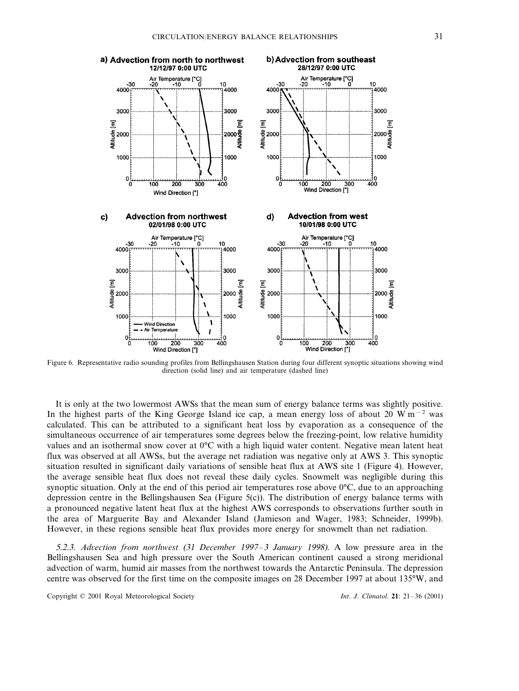

Figure 6. Representative radio sounding profiles from Bellingshausen Station during four different synoptic situations showing wind direction (solid line) and air temperature (dashed line)

It is only at the two lowermost AWSs that the mean sum of energy balance terms was slightly positive. In the highest parts of the King George Island ice cap, a mean energy loss of about 20 W m<sup>-2</sup> was calculated. This can be attributed to a significant heat loss by evaporation as a consequence of the simultaneous occurrence of air temperatures some degrees below the freezing-point, low relative humidity values and an isothermal snow cover at 0°C with a high liquid water content. Negative mean latent heat flux was observed at all AWSs, but the average net radiation was negative only at AWS 3. This synoptic situation resulted in significant daily variations of sensible heat flux at AWS site 1 (Figure 4). However, the average sensible heat flux does not reveal these daily cycles. Snowmelt was negligible during this synoptic situation. Only at the end of this period air temperatures rose above 0°C, due to an approaching depression centre in the Bellingshausen Sea (Figure 5(c)). The distribution of energy balance terms with a pronounced negative latent heat flux at the highest AWS corresponds to observations further south in the area of Marguerite Bay and Alexander Island (Jamieson and Wager, 1983; Schneider, 1999b). However, in these regions sensible heat flux provides more energy for snowmelt than net radiation.

5.2.3. *Ad*6*ection from northwest* (31 *December* <sup>1997</sup>–<sup>3</sup> *January* 1998). A low pressure area in the Bellingshausen Sea and high pressure over the South American continent caused a strong meridional advection of warm, humid air masses from the northwest towards the Antarctic Peninsula. The depression centre was observed for the first time on the composite images on 28 December 1997 at about 135°W, and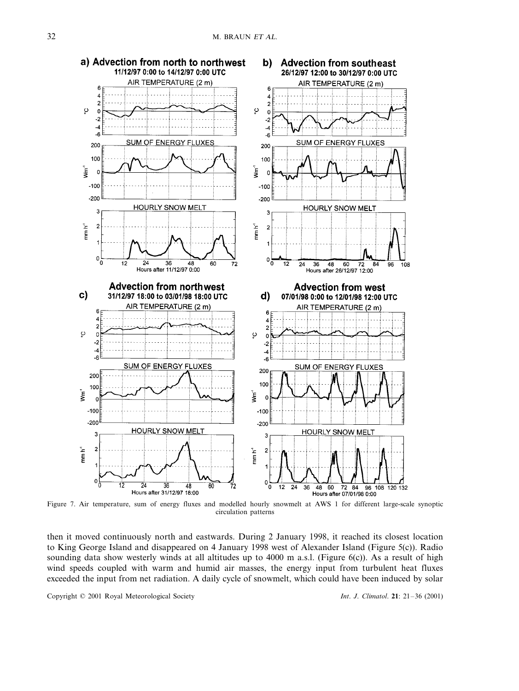

Figure 7. Air temperature, sum of energy fluxes and modelled hourly snowmelt at AWS 1 for different large-scale synoptic circulation patterns

then it moved continuously north and eastwards. During 2 January 1998, it reached its closest location to King George Island and disappeared on 4 January 1998 west of Alexander Island (Figure 5(c)). Radio sounding data show westerly winds at all altitudes up to 4000 m a.s.l. (Figure 6(c)). As a result of high wind speeds coupled with warm and humid air masses, the energy input from turbulent heat fluxes exceeded the input from net radiation. A daily cycle of snowmelt, which could have been induced by solar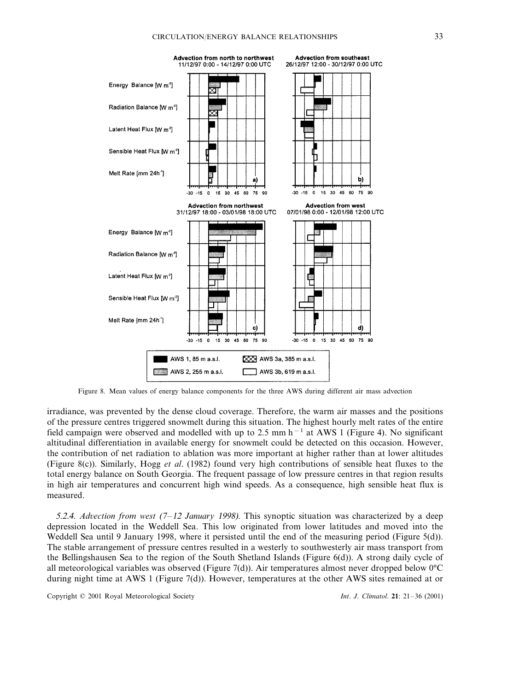

Figure 8. Mean values of energy balance components for the three AWS during different air mass advection

irradiance, was prevented by the dense cloud coverage. Therefore, the warm air masses and the positions of the pressure centres triggered snowmelt during this situation. The highest hourly melt rates of the entire field campaign were observed and modelled with up to 2.5 mm h<sup>−</sup><sup>1</sup> at AWS 1 (Figure 4). No significant altitudinal differentiation in available energy for snowmelt could be detected on this occasion. However, the contribution of net radiation to ablation was more important at higher rather than at lower altitudes (Figure 8(c)). Similarly, Hogg *et al*. (1982) found very high contributions of sensible heat fluxes to the total energy balance on South Georgia. The frequent passage of low pressure centres in that region results in high air temperatures and concurrent high wind speeds. As a consequence, high sensible heat flux is measured.

5.2.4. *Ad*6*ection from west* (7–<sup>12</sup> *January* 1998). This synoptic situation was characterized by a deep depression located in the Weddell Sea. This low originated from lower latitudes and moved into the Weddell Sea until 9 January 1998, where it persisted until the end of the measuring period (Figure 5(d)). The stable arrangement of pressure centres resulted in a westerly to southwesterly air mass transport from the Bellingshausen Sea to the region of the South Shetland Islands (Figure 6(d)). A strong daily cycle of all meteorological variables was observed (Figure 7(d)). Air temperatures almost never dropped below  $0^{\circ}C$ during night time at AWS 1 (Figure 7(d)). However, temperatures at the other AWS sites remained at or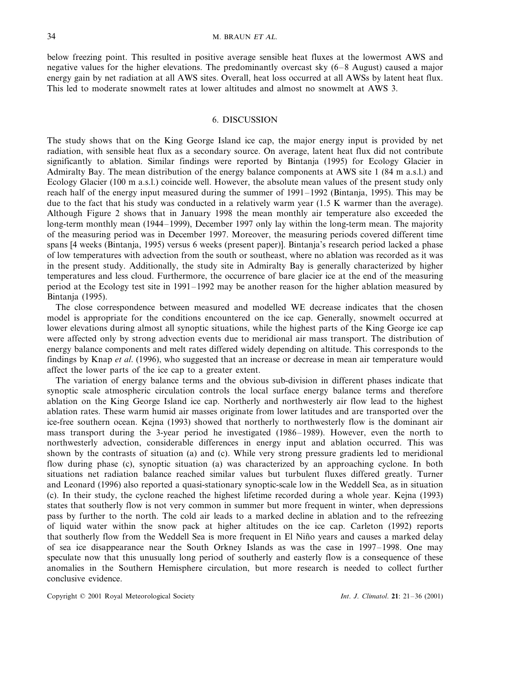below freezing point. This resulted in positive average sensible heat fluxes at the lowermost AWS and negative values for the higher elevations. The predominantly overcast sky (6–8 August) caused a major energy gain by net radiation at all AWS sites. Overall, heat loss occurred at all AWSs by latent heat flux. This led to moderate snowmelt rates at lower altitudes and almost no snowmelt at AWS 3.

## 6. DISCUSSION

The study shows that on the King George Island ice cap, the major energy input is provided by net radiation, with sensible heat flux as a secondary source. On average, latent heat flux did not contribute significantly to ablation. Similar findings were reported by Bintanja (1995) for Ecology Glacier in Admiralty Bay. The mean distribution of the energy balance components at AWS site 1 (84 m a.s.l.) and Ecology Glacier (100 m a.s.l.) coincide well. However, the absolute mean values of the present study only reach half of the energy input measured during the summer of 1991–1992 (Bintanja, 1995). This may be due to the fact that his study was conducted in a relatively warm year (1.5 K warmer than the average). Although Figure 2 shows that in January 1998 the mean monthly air temperature also exceeded the long-term monthly mean (1944–1999), December 1997 only lay within the long-term mean. The majority of the measuring period was in December 1997. Moreover, the measuring periods covered different time spans [4 weeks (Bintanja, 1995) versus 6 weeks (present paper)]. Bintanja's research period lacked a phase of low temperatures with advection from the south or southeast, where no ablation was recorded as it was in the present study. Additionally, the study site in Admiralty Bay is generally characterized by higher temperatures and less cloud. Furthermore, the occurrence of bare glacier ice at the end of the measuring period at the Ecology test site in 1991–1992 may be another reason for the higher ablation measured by Bintanja (1995).

The close correspondence between measured and modelled WE decrease indicates that the chosen model is appropriate for the conditions encountered on the ice cap. Generally, snowmelt occurred at lower elevations during almost all synoptic situations, while the highest parts of the King George ice cap were affected only by strong advection events due to meridional air mass transport. The distribution of energy balance components and melt rates differed widely depending on altitude. This corresponds to the findings by Knap *et al*. (1996), who suggested that an increase or decrease in mean air temperature would affect the lower parts of the ice cap to a greater extent.

The variation of energy balance terms and the obvious sub-division in different phases indicate that synoptic scale atmospheric circulation controls the local surface energy balance terms and therefore ablation on the King George Island ice cap. Northerly and northwesterly air flow lead to the highest ablation rates. These warm humid air masses originate from lower latitudes and are transported over the ice-free southern ocean. Kejna (1993) showed that northerly to northwesterly flow is the dominant air mass transport during the 3-year period he investigated (1986–1989). However, even the north to northwesterly advection, considerable differences in energy input and ablation occurred. This was shown by the contrasts of situation (a) and (c). While very strong pressure gradients led to meridional flow during phase (c), synoptic situation (a) was characterized by an approaching cyclone. In both situations net radiation balance reached similar values but turbulent fluxes differed greatly. Turner and Leonard (1996) also reported a quasi-stationary synoptic-scale low in the Weddell Sea, as in situation (c). In their study, the cyclone reached the highest lifetime recorded during a whole year. Kejna (1993) states that southerly flow is not very common in summer but more frequent in winter, when depressions pass by further to the north. The cold air leads to a marked decline in ablation and to the refreezing of liquid water within the snow pack at higher altitudes on the ice cap. Carleton (1992) reports that southerly flow from the Weddell Sea is more frequent in El Niño years and causes a marked delay of sea ice disappearance near the South Orkney Islands as was the case in 1997–1998. One may speculate now that this unusually long period of southerly and easterly flow is a consequence of these anomalies in the Southern Hemisphere circulation, but more research is needed to collect further conclusive evidence.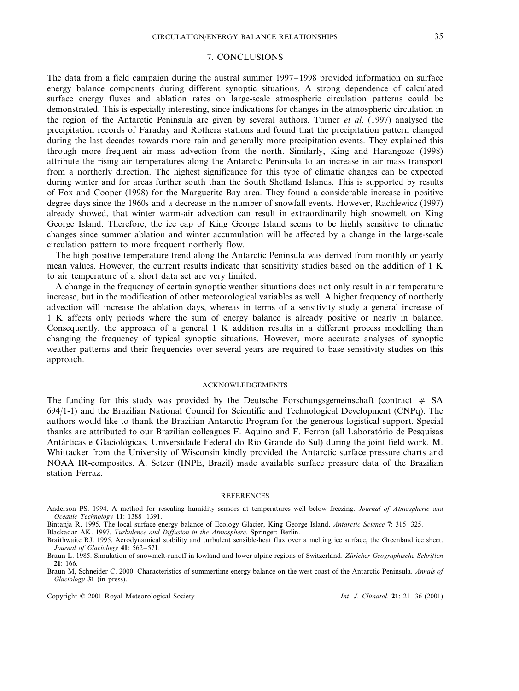## 7. CONCLUSIONS

The data from a field campaign during the austral summer 1997–1998 provided information on surface energy balance components during different synoptic situations. A strong dependence of calculated surface energy fluxes and ablation rates on large-scale atmospheric circulation patterns could be demonstrated. This is especially interesting, since indications for changes in the atmospheric circulation in the region of the Antarctic Peninsula are given by several authors. Turner *et al*. (1997) analysed the precipitation records of Faraday and Rothera stations and found that the precipitation pattern changed during the last decades towards more rain and generally more precipitation events. They explained this through more frequent air mass advection from the north. Similarly, King and Harangozo (1998) attribute the rising air temperatures along the Antarctic Peninsula to an increase in air mass transport from a northerly direction. The highest significance for this type of climatic changes can be expected during winter and for areas further south than the South Shetland Islands. This is supported by results of Fox and Cooper (1998) for the Marguerite Bay area. They found a considerable increase in positive degree days since the 1960s and a decrease in the number of snowfall events. However, Rachlewicz (1997) already showed, that winter warm-air advection can result in extraordinarily high snowmelt on King George Island. Therefore, the ice cap of King George Island seems to be highly sensitive to climatic changes since summer ablation and winter accumulation will be affected by a change in the large-scale circulation pattern to more frequent northerly flow.

The high positive temperature trend along the Antarctic Peninsula was derived from monthly or yearly mean values. However, the current results indicate that sensitivity studies based on the addition of 1 K to air temperature of a short data set are very limited.

A change in the frequency of certain synoptic weather situations does not only result in air temperature increase, but in the modification of other meteorological variables as well. A higher frequency of northerly advection will increase the ablation days, whereas in terms of a sensitivity study a general increase of 1 K affects only periods where the sum of energy balance is already positive or nearly in balance. Consequently, the approach of a general 1 K addition results in a different process modelling than changing the frequency of typical synoptic situations. However, more accurate analyses of synoptic weather patterns and their frequencies over several years are required to base sensitivity studies on this approach.

## ACKNOWLEDGEMENTS

The funding for this study was provided by the Deutsche Forschungsgemeinschaft (contract  $# SA$ 694/1-1) and the Brazilian National Council for Scientific and Technological Development (CNPq). The authors would like to thank the Brazilian Antarctic Program for the generous logistical support. Special thanks are attributed to our Brazilian colleagues F. Aquino and F. Ferron (all Laborato´rio de Pesquisas Antárticas e Glaciológicas, Universidade Federal do Rio Grande do Sul) during the joint field work. M. Whittacker from the University of Wisconsin kindly provided the Antarctic surface pressure charts and NOAA IR-composites. A. Setzer (INPE, Brazil) made available surface pressure data of the Brazilian station Ferraz.

## **REFERENCES**

Anderson PS. 1994. A method for rescaling humidity sensors at temperatures well below freezing. *Journal of Atmospheric and Oceanic Technology* **11**: 1388–1391.

Blackadar AK. 1997. *Turbulence and Diffusion in the Atmosphere*. Springer: Berlin. Braithwaite RJ. 1995. Aerodynamical stability and turbulent sensible-heat flux over a melting ice surface, the Greenland ice sheet. *Journal of Glaciology* **41**: 562–571.

Braun M, Schneider C. 2000. Characteristics of summertime energy balance on the west coast of the Antarctic Peninsula. *Annals of Glaciology* **31** (in press).

Bintanja R. 1995. The local surface energy balance of Ecology Glacier, King George Island. *Antarctic Science* **7**: 315–325.

Braun L. 1985. Simulation of snowmelt-runoff in lowland and lower alpine regions of Switzerland. *Züricher Geographische Schriften* **21**: 166.